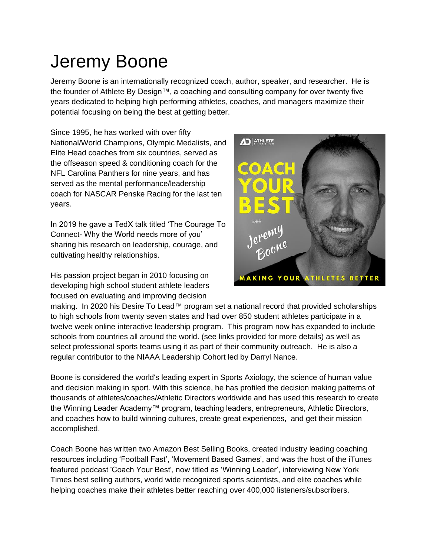## Jeremy Boone

Jeremy Boone is an internationally recognized coach, author, speaker, and researcher. He is the founder of Athlete By Design™, a coaching and consulting company for over twenty five years dedicated to helping high performing athletes, coaches, and managers maximize their potential focusing on being the best at getting better.

Since 1995, he has worked with over fifty National/World Champions, Olympic Medalists, and Elite Head coaches from six countries, served as the offseason speed & conditioning coach for the NFL Carolina Panthers for nine years, and has served as the mental performance/leadership coach for NASCAR Penske Racing for the last ten years.

In 2019 he gave a TedX talk titled 'The Courage To Connect- Why the World needs more of you' sharing his research on leadership, courage, and cultivating healthy relationships.

His passion project began in 2010 focusing on developing high school student athlete leaders focused on evaluating and improving decision



making. In 2020 his Desire To Lead™ program set a national record that provided scholarships to high schools from twenty seven states and had over 850 student athletes participate in a twelve week online interactive leadership program. This program now has expanded to include schools from countries all around the world. (see links provided for more details) as well as select professional sports teams using it as part of their community outreach. He is also a regular contributor to the NIAAA Leadership Cohort led by Darryl Nance.

Boone is considered the world's leading expert in Sports Axiology, the science of human value and decision making in sport. With this science, he has profiled the decision making patterns of thousands of athletes/coaches/Athletic Directors worldwide and has used this research to create the Winning Leader Academy™ program, teaching leaders, entrepreneurs, Athletic Directors, and coaches how to build winning cultures, create great experiences, and get their mission accomplished.

Coach Boone has written two Amazon Best Selling Books, created industry leading coaching resources including 'Football Fast', 'Movement Based Games', and was the host of the iTunes featured podcast 'Coach Your Best', now titled as 'Winning Leader', interviewing New York Times best selling authors, world wide recognized sports scientists, and elite coaches while helping coaches make their athletes better reaching over 400,000 listeners/subscribers.